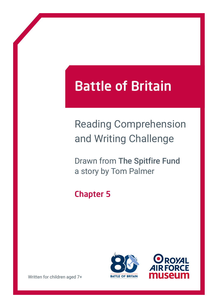# Battle of Britain

## Reading Comprehension and Writing Challenge

Drawn from The Spitfire Fund a story by Tom Palmer

### Chapter 5





Written for children aged 7+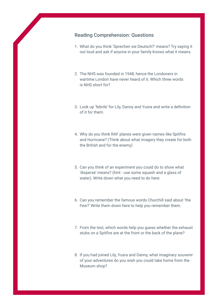#### Reading Comprehension: Questions

- 1. What do you think 'Sprechen sie Deutsch?' means? Try saying it out loud and ask if anyone in your family knows what it means.
- 2. The NHS was founded in 1948, hence the Londoners in wartime London have never heard of it. Which three words is NHS short for?
- 3. Look up 'febrile' for Lily, Danny and Yusra and write a definition of it for them.
- 4. Why do you think RAF planes were given names like Spitfire and Hurricane? (Think about what imagery they create for both the British and for the enemy)
- 5. Can you think of an experiment you could do to show what 'disperse' means? (hint - use some squash and a glass of water). Write down what you need to do here:
- 6. Can you remember the famous words Churchill said about 'the Few?' Write them down here to help you remember them.
- 7. From the text, which words help you guess whether the exhaust stubs on a Spitfire are at the front or the back of the plane?
- 8. If you had joined Lily, Yusra and Danny, what imaginary souvenir of your adventures do you wish you could take home from the Museum shop?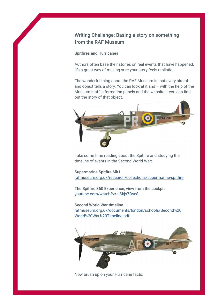#### Writing Challenge: Basing a story on something from the RAF Museum

#### Spitfires and Hurricanes

Authors often base their stories on real events that have happened. It's a great way of making sure your story feels realistic.

The wonderful thing about the RAF Museum is that every aircraft and object tells a story. You can look at it and – with the help of the Museum staff, information panels and the website – you can find out the story of that object.



Take some time reading about the Spitfire and studying the timeline of events in the Second World War:

Supermarine Spitfire Mk1 [rafmuseum.org.uk/research/collections/supermarine-spitfire](http://rafmuseum.org.uk/research/collections/supermarine-spitfire)

The Spitfire 360 Experience, view from the cockpit [youtube.com/watch?v=aiSkjs7Oyc8](http://youtube.com/watch?v=aiSkjs7Oyc8)

Second World War timeline [rafmuseum.org.uk/documents/london/schools/Second%20](http://rafmuseum.org.uk/documents/london/schools/Second%20World%20War%20Timeline.pdf) [World%20War%20Timeline.pdf](http://rafmuseum.org.uk/documents/london/schools/Second%20World%20War%20Timeline.pdf)



Now brush up on your Hurricane facts: